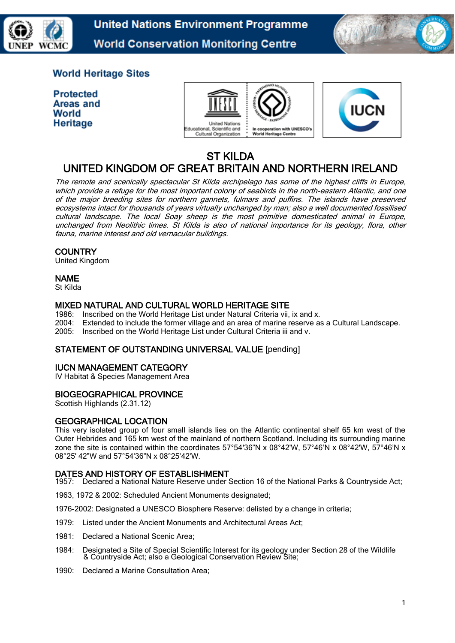

**United Nations Environment Programme World Conservation Monitoring Centre** 



# **World Heritage Sites**

**Protected** Areas and World Heritage





## ST KILDA UNITED KINGDOM OF GREAT BRITAIN AND NORTHERN IRELAND

The remote and scenically spectacular St Kilda archipelago has some of the highest cliffs in Europe, which provide a refuge for the most important colony of seabirds in the north-eastern Atlantic, and one of the major breeding sites for northern gannets, fulmars and puffins. The islands have preserved ecosystems intact for thousands of years virtually unchanged by man; also a well documented fossilised cultural landscape. The local Soay sheep is the most primitive domesticated animal in Europe, unchanged from Neolithic times. St Kilda is also of national importance for its geology, flora, other fauna, marine interest and old vernacular buildings.

## **COUNTRY**

United Kingdom

## NAME

St Kilda

## MIXED NATURAL AND CULTURAL WORLD HERITAGE SITE

1986: Inscribed on the World Heritage List under Natural Criteria vii, ix and x. 2004: Extended to include the former village and an area of marine reserve as a Cultural Landscape.<br>2005: Inscribed on the World Heritage List under Cultural Criteria iii and v. Inscribed on the World Heritage List under Cultural Criteria iii and v.

## STATEMENT OF OUTSTANDING UNIVERSAL VALUE [pending]

#### IUCN MANAGEMENT CATEGORY

IV Habitat & Species Management Area

#### BIOGEOGRAPHICAL PROVINCE

Scottish Highlands (2.31.12)

# GEOGRAPHICAL LOCATION

This very isolated group of four small islands lies on the Atlantic continental shelf 65 km west of the Outer Hebrides and 165 km west of the mainland of northern Scotland. Including its surrounding marine zone the site is contained within the coordinates 57°54'36"N x 08°42'W, 57°46'N x 08°42'W, 57°46'N x 08°25' 42"W and 57°54'36"N x 08°25'42'W.

#### DATES AND HISTORY OF ESTABLISHMENT

1957: Declared a National Nature Reserve under Section 16 of the National Parks & Countryside Act;

1963, 1972 & 2002: Scheduled Ancient Monuments designated;

1976-2002: Designated a UNESCO Biosphere Reserve: delisted by a change in criteria;

- 1979: Listed under the Ancient Monuments and Architectural Areas Act;
- 1981: Declared a National Scenic Area;
- 1984: Designated a Site of Special Scientific Interest for its geology under Section 28 of the Wildlife & Countryside Act; also a Geological Conservation Review Site;
- 1990: Declared a Marine Consultation Area;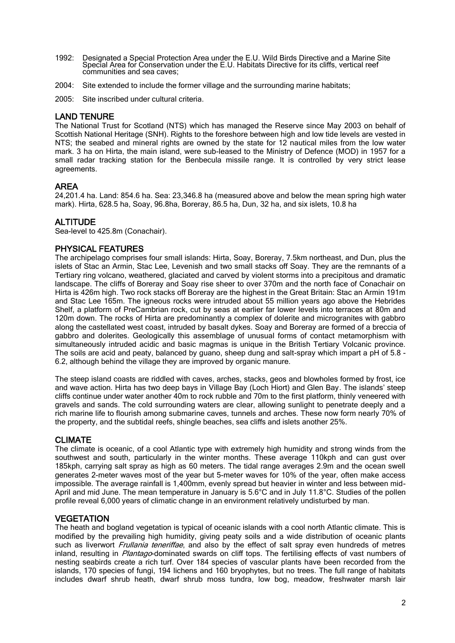- 1992: Designated a Special Protection Area under the E.U. Wild Birds Directive and a Marine Site Special Area for Conservation under the E.U. Habitats Directive for its cliffs, vertical reef communities and sea caves;
- 2004: Site extended to include the former village and the surrounding marine habitats;
- 2005: Site inscribed under cultural criteria.

#### LAND TENURE

The National Trust for Scotland (NTS) which has managed the Reserve since May 2003 on behalf of Scottish National Heritage (SNH). Rights to the foreshore between high and low tide levels are vested in NTS; the seabed and mineral rights are owned by the state for 12 nautical miles from the low water mark. 3 ha on Hirta, the main island, were sub-leased to the Ministry of Defence (MOD) in 1957 for a small radar tracking station for the Benbecula missile range. It is controlled by very strict lease agreements.

#### AREA

24,201.4 ha. Land: 854.6 ha. Sea: 23,346.8 ha (measured above and below the mean spring high water mark). Hirta, 628.5 ha, Soay, 96.8ha, Boreray, 86.5 ha, Dun, 32 ha, and six islets, 10.8 ha

#### ALTITUDE

Sea-level to 425.8m (Conachair).

#### PHYSICAL FEATURES

The archipelago comprises four small islands: Hirta, Soay, Boreray, 7.5km northeast, and Dun, plus the islets of Stac an Armin, Stac Lee, Levenish and two small stacks off Soay. They are the remnants of a Tertiary ring volcano, weathered, glaciated and carved by violent storms into a precipitous and dramatic landscape. The cliffs of Boreray and Soay rise sheer to over 370m and the north face of Conachair on Hirta is 426m high. Two rock stacks off Boreray are the highest in the Great Britain: Stac an Armin 191m and Stac Lee 165m. The igneous rocks were intruded about 55 million years ago above the Hebrides Shelf, a platform of PreCambrian rock, cut by seas at earlier far lower levels into terraces at 80m and 120m down. The rocks of Hirta are predominantly a complex of dolerite and microgranites with gabbro along the castellated west coast, intruded by basalt dykes. Soay and Boreray are formed of a breccia of gabbro and dolerites. Geologically this assemblage of unusual forms of contact metamorphism with simultaneously intruded acidic and basic magmas is unique in the British Tertiary Volcanic province. The soils are acid and peaty, balanced by guano, sheep dung and salt-spray which impart a pH of 5.8 - 6.2, although behind the village they are improved by organic manure.

The steep island coasts are riddled with caves, arches, stacks, geos and blowholes formed by frost, ice and wave action. Hirta has two deep bays in Village Bay (Loch Hiort) and Glen Bay. The islands' steep cliffs continue under water another 40m to rock rubble and 70m to the first platform, thinly veneered with gravels and sands. The cold surrounding waters are clear, allowing sunlight to penetrate deeply and a rich marine life to flourish among submarine caves, tunnels and arches. These now form nearly 70% of the property, and the subtidal reefs, shingle beaches, sea cliffs and islets another 25%.

#### CLIMATE

The climate is oceanic, of a cool Atlantic type with extremely high humidity and strong winds from the southwest and south, particularly in the winter months. These average 110kph and can gust over 185kph, carrying salt spray as high as 60 meters. The tidal range averages 2.9m and the ocean swell generates 2-meter waves most of the year but 5-meter waves for 10% of the year, often make access impossible. The average rainfall is 1,400mm, evenly spread but heavier in winter and less between mid-April and mid June. The mean temperature in January is 5.6°C and in July 11.8°C. Studies of the pollen profile reveal 6,000 years of climatic change in an environment relatively undisturbed by man.

#### **VEGETATION**

The heath and bogland vegetation is typical of oceanic islands with a cool north Atlantic climate. This is modified by the prevailing high humidity, giving peaty soils and a wide distribution of oceanic plants such as liverwort *Frullania teneriffae*, and also by the effect of salt spray even hundreds of metres inland, resulting in Plantago-dominated swards on cliff tops. The fertilising effects of vast numbers of nesting seabirds create a rich turf. Over 184 species of vascular plants have been recorded from the islands, 170 species of fungi, 194 lichens and 160 bryophytes, but no trees. The full range of habitats includes dwarf shrub heath, dwarf shrub moss tundra, low bog, meadow, freshwater marsh lair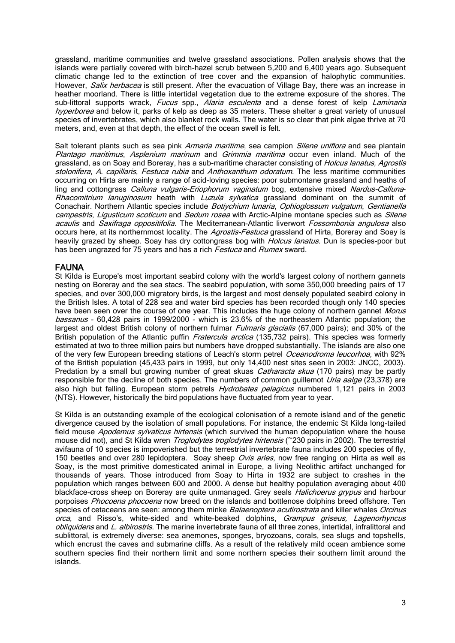grassland, maritime communities and twelve grassland associations. Pollen analysis shows that the islands were partially covered with birch-hazel scrub between 5,200 and 6,400 years ago. Subsequent climatic change led to the extinction of tree cover and the expansion of halophytic communities. However, Salix herbacea is still present. After the evacuation of Village Bay, there was an increase in heather moorland. There is little intertidal vegetation due to the extreme exposure of the shores. The sub-littoral supports wrack, Fucus spp., Alaria esculenta and a dense forest of kelp Laminaria hyperborea and below it, parks of kelp as deep as 35 meters. These shelter a great variety of unusual species of invertebrates, which also blanket rock walls. The water is so clear that pink algae thrive at 70 meters, and, even at that depth, the effect of the ocean swell is felt.

Salt tolerant plants such as sea pink Armaria maritime, sea campion Silene uniflora and sea plantain Plantago maritimus, Asplenium marinum and Grimmia maritima occur even inland. Much of the grassland, as on Soay and Boreray, has a sub-maritime character consisting of *Holcus lanatus, Agrostis* stolonifera, A. capillaris, Festuca rubia and Anthoxanthum odoratum. The less maritime communities occurring on Hirta are mainly a range of acid-loving species: poor submontane grassland and heaths of ling and cottongrass Calluna vulgaris-Eriophorum vaginatum bog, extensive mixed Nardus-Calluna-Rhacomitrium lanuginosum heath with Luzula sylvatica grassland dominant on the summit of Conachair. Northern Atlantic species include Botivchium lunaria, Ophioglossum vulgatum, Gentianella campestris, Ligusticum scoticum and Sedum rosea with Arctic-Alpine montane species such as Silene acaulis and Saxifraga oppositifolia. The Mediterranean-Atlantic liverwort Fossombonia angulosa also occurs here, at its northernmost locality. The Agrostis-Festuca grassland of Hirta, Boreray and Soay is heavily grazed by sheep. Soay has dry cottongrass bog with *Holcus lanatus*. Dun is species-poor but has been ungrazed for 75 years and has a rich Festuca and Rumex sward.

#### FAUNA

St Kilda is Europe's most important seabird colony with the world's largest colony of northern gannets nesting on Boreray and the sea stacs. The seabird population, with some 350,000 breeding pairs of 17 species, and over 300,000 migratory birds, is the largest and most densely populated seabird colony in the British Isles. A total of 228 sea and water bird species has been recorded though only 140 species have been seen over the course of one year. This includes the huge colony of northern gannet Morus bassanus - 60,428 pairs in 1999/2000 - which is 23.6% of the northeastern Atlantic population; the largest and oldest British colony of northern fulmar *Fulmaris glacialis* (67,000 pairs); and 30% of the British population of the Atlantic puffin Fratercula arctica (135,732 pairs). This species was formerly estimated at two to three million pairs but numbers have dropped substantially. The islands are also one of the very few European breeding stations of Leach's storm petrel Oceanodroma leucorhoa, with 92% of the British population (45,433 pairs in 1999, but only 14,400 nest sites seen in 2003: JNCC, 2003). Predation by a small but growing number of great skuas *Catharacta skua* (170 pairs) may be partly responsible for the decline of both species. The numbers of common guillemot Uria aalge (23,378) are also high but falling. European storm petrels *Hydrobates pelagicus* numbered 1,121 pairs in 2003 (NTS). However, historically the bird populations have fluctuated from year to year.

St Kilda is an outstanding example of the ecological colonisation of a remote island and of the genetic divergence caused by the isolation of small populations. For instance, the endemic St Kilda long-tailed field mouse *Apodemus sylvaticus hirtensis* (which survived the human depopulation where the house mouse did not), and St Kilda wren *Troglodytes troglodytes hirtensis* (~230 pairs in 2002). The terrestrial avifauna of 10 species is impoverished but the terrestrial invertebrate fauna includes 200 species of fly, 150 beetles and over 280 lepidoptera. Soay sheep Ovis aries, now free ranging on Hirta as well as Soay, is the most primitive domesticated animal in Europe, a living Neolithic artifact unchanged for thousands of years. Those introduced from Soay to Hirta in 1932 are subject to crashes in the population which ranges between 600 and 2000. A dense but healthy population averaging about 400 blackface-cross sheep on Boreray are quite unmanaged. Grey seals *Halichoerus grypus* and harbour porpoises Phocoena phocoena now breed on the islands and bottlenose dolphins breed offshore. Ten species of cetaceans are seen: among them minke *Balaenoptera acutirostrata* and killer whales *Orcinus* orca, and Risso's, white-sided and white-beaked dolphins, Grampus griseus, Lagenorhyncus obliquidens and L. albirostris. The marine invertebrate fauna of all three zones, intertidal, infralittoral and sublittoral, is extremely diverse: sea anemones, sponges, bryozoans, corals, sea slugs and topshells, which encrust the caves and submarine cliffs. As a result of the relatively mild ocean ambience some southern species find their northern limit and some northern species their southern limit around the islands.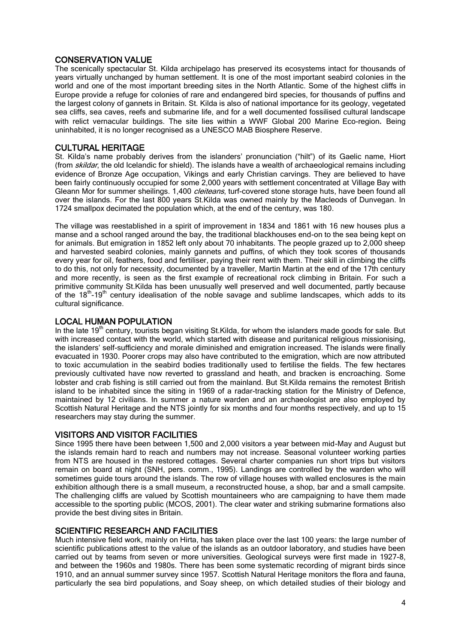#### CONSERVATION VALUE

The scenically spectacular St. Kilda archipelago has preserved its ecosystems intact for thousands of years virtually unchanged by human settlement. It is one of the most important seabird colonies in the world and one of the most important breeding sites in the North Atlantic. Some of the highest cliffs in Europe provide a refuge for colonies of rare and endangered bird species, for thousands of puffins and the largest colony of gannets in Britain. St. Kilda is also of national importance for its geology, vegetated sea cliffs, sea caves, reefs and submarine life, and for a well documented fossilised cultural landscape with relict vernacular buildings. The site lies within a WWF Global 200 Marine Eco-region. Being uninhabited, it is no longer recognised as a UNESCO MAB Biosphere Reserve.

#### CULTURAL HERITAGE

St. Kilda's name probably derives from the islanders' pronunciation ("hilt") of its Gaelic name, Hiort (from skildar, the old Icelandic for shield). The islands have a wealth of archaeological remains including evidence of Bronze Age occupation, Vikings and early Christian carvings. They are believed to have been fairly continuously occupied for some 2,000 years with settlement concentrated at Village Bay with Gleann Mor for summer sheilings. 1,400 *cleiteans*, turf-covered stone storage huts, have been found all over the islands. For the last 800 years St.Kilda was owned mainly by the Macleods of Dunvegan. In 1724 smallpox decimated the population which, at the end of the century, was 180.

The village was reestablished in a spirit of improvement in 1834 and 1861 with 16 new houses plus a manse and a school ranged around the bay, the traditional blackhouses end-on to the sea being kept on for animals. But emigration in 1852 left only about 70 inhabitants. The people grazed up to 2,000 sheep and harvested seabird colonies, mainly gannets and puffins, of which they took scores of thousands every year for oil, feathers, food and fertiliser, paying their rent with them. Their skill in climbing the cliffs to do this, not only for necessity, documented by a traveller, Martin Martin at the end of the 17th century and more recently, is seen as the first example of recreational rock climbing in Britain. For such a primitive community St.Kilda has been unusually well preserved and well documented, partly because of the 18<sup>th</sup>-19<sup>th</sup> century idealisation of the noble savage and sublime landscapes, which adds to its cultural significance.

#### LOCAL HUMAN POPULATION

In the late 19<sup>th</sup> century, tourists began visiting St.Kilda, for whom the islanders made goods for sale. But with increased contact with the world, which started with disease and puritanical religious missionising, the islanders' self-sufficiency and morale diminished and emigration increased. The islands were finally evacuated in 1930. Poorer crops may also have contributed to the emigration, which are now attributed to toxic accumulation in the seabird bodies traditionally used to fertilise the fields. The few hectares previously cultivated have now reverted to grassland and heath, and bracken is encroaching. Some lobster and crab fishing is still carried out from the mainland. But St.Kilda remains the remotest British island to be inhabited since the siting in 1969 of a radar-tracking station for the Ministry of Defence, maintained by 12 civilians. In summer a nature warden and an archaeologist are also employed by Scottish Natural Heritage and the NTS jointly for six months and four months respectively, and up to 15 researchers may stay during the summer.

#### VISITORS AND VISITOR FACILITIES

Since 1995 there have been between 1,500 and 2,000 visitors a year between mid-May and August but the islands remain hard to reach and numbers may not increase. Seasonal volunteer working parties from NTS are housed in the restored cottages. Several charter companies run short trips but visitors remain on board at night (SNH, pers. comm., 1995). Landings are controlled by the warden who will sometimes guide tours around the islands. The row of village houses with walled enclosures is the main exhibition although there is a small museum, a reconstructed house, a shop, bar and a small campsite. The challenging cliffs are valued by Scottish mountaineers who are campaigning to have them made accessible to the sporting public (MCOS, 2001). The clear water and striking submarine formations also provide the best diving sites in Britain.

#### SCIENTIFIC RESEARCH AND FACILITIES

Much intensive field work, mainly on Hirta, has taken place over the last 100 years: the large number of scientific publications attest to the value of the islands as an outdoor laboratory, and studies have been carried out by teams from seven or more universities. Geological surveys were first made in 1927-8, and between the 1960s and 1980s. There has been some systematic recording of migrant birds since 1910, and an annual summer survey since 1957. Scottish Natural Heritage monitors the flora and fauna, particularly the sea bird populations, and Soay sheep, on which detailed studies of their biology and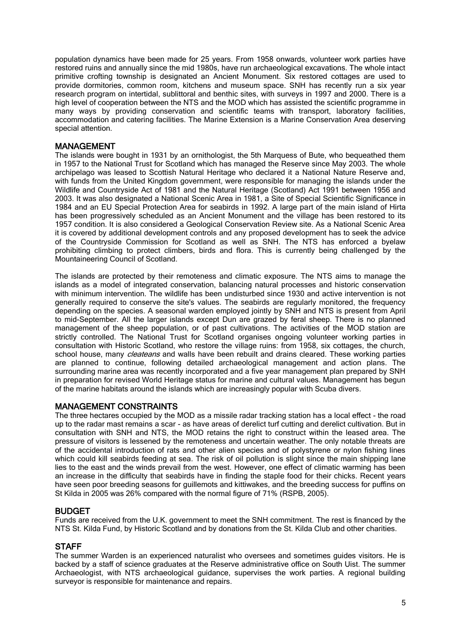population dynamics have been made for 25 years. From 1958 onwards, volunteer work parties have restored ruins and annually since the mid 1980s, have run archaeological excavations. The whole intact primitive crofting township is designated an Ancient Monument. Six restored cottages are used to provide dormitories, common room, kitchens and museum space. SNH has recently run a six year research program on intertidal, sublittoral and benthic sites, with surveys in 1997 and 2000. There is a high level of cooperation between the NTS and the MOD which has assisted the scientific programme in many ways by providing conservation and scientific teams with transport, laboratory facilities, accommodation and catering facilities. The Marine Extension is a Marine Conservation Area deserving special attention.

#### MANAGEMENT

The islands were bought in 1931 by an ornithologist, the 5th Marquess of Bute, who bequeathed them in 1957 to the National Trust for Scotland which has managed the Reserve since May 2003. The whole archipelago was leased to Scottish Natural Heritage who declared it a National Nature Reserve and, with funds from the United Kingdom government, were responsible for managing the islands under the Wildlife and Countryside Act of 1981 and the Natural Heritage (Scotland) Act 1991 between 1956 and 2003. It was also designated a National Scenic Area in 1981, a Site of Special Scientific Significance in 1984 and an EU Special Protection Area for seabirds in 1992. A large part of the main island of Hirta has been progressively scheduled as an Ancient Monument and the village has been restored to its 1957 condition. It is also considered a Geological Conservation Review site. As a National Scenic Area it is covered by additional development controls and any proposed development has to seek the advice of the Countryside Commission for Scotland as well as SNH. The NTS has enforced a byelaw prohibiting climbing to protect climbers, birds and flora. This is currently being challenged by the Mountaineering Council of Scotland.

The islands are protected by their remoteness and climatic exposure. The NTS aims to manage the islands as a model of integrated conservation, balancing natural processes and historic conservation with minimum intervention. The wildlife has been undisturbed since 1930 and active intervention is not generally required to conserve the site's values. The seabirds are regularly monitored, the frequency depending on the species. A seasonal warden employed jointly by SNH and NTS is present from April to mid-September. All the larger islands except Dun are grazed by feral sheep. There is no planned management of the sheep population, or of past cultivations. The activities of the MOD station are strictly controlled. The National Trust for Scotland organises ongoing volunteer working parties in consultation with Historic Scotland, who restore the village ruins: from 1958, six cottages, the church, school house, many *cleateans* and walls have been rebuilt and drains cleared. These working parties are planned to continue, following detailed archaeological management and action plans. The surrounding marine area was recently incorporated and a five year management plan prepared by SNH in preparation for revised World Heritage status for marine and cultural values. Management has begun of the marine habitats around the islands which are increasingly popular with Scuba divers.

#### MANAGEMENT CONSTRAINTS

The three hectares occupied by the MOD as a missile radar tracking station has a local effect - the road up to the radar mast remains a scar - as have areas of derelict turf cutting and derelict cultivation. But in consultation with SNH and NTS, the MOD retains the right to construct within the leased area. The pressure of visitors is lessened by the remoteness and uncertain weather. The only notable threats are of the accidental introduction of rats and other alien species and of polystyrene or nylon fishing lines which could kill seabirds feeding at sea. The risk of oil pollution is slight since the main shipping lane lies to the east and the winds prevail from the west. However, one effect of climatic warming has been an increase in the difficulty that seabirds have in finding the staple food for their chicks. Recent years have seen poor breeding seasons for guillemots and kittiwakes, and the breeding success for puffins on St Kilda in 2005 was 26% compared with the normal figure of 71% (RSPB, 2005).

#### BUDGET

Funds are received from the U.K. government to meet the SNH commitment. The rest is financed by the NTS St. Kilda Fund, by Historic Scotland and by donations from the St. Kilda Club and other charities.

#### **STAFF**

The summer Warden is an experienced naturalist who oversees and sometimes guides visitors. He is backed by a staff of science graduates at the Reserve administrative office on South Uist. The summer Archaeologist, with NTS archaeological guidance, supervises the work parties. A regional building surveyor is responsible for maintenance and repairs.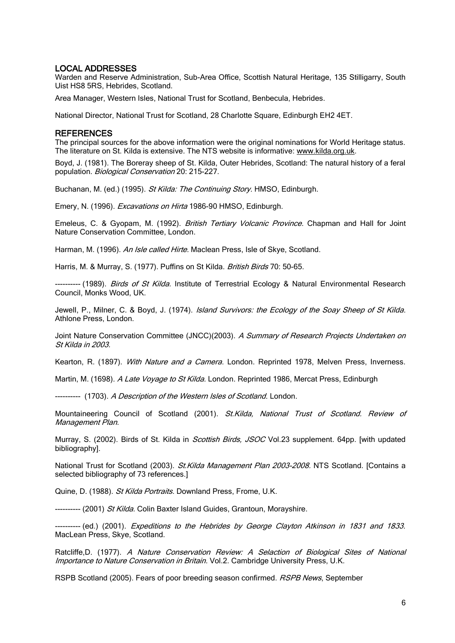#### LOCAL ADDRESSES

Warden and Reserve Administration, Sub-Area Office, Scottish Natural Heritage, 135 Stilligarry, South Uist HS8 5RS, Hebrides, Scotland.

Area Manager, Western Isles, National Trust for Scotland, Benbecula, Hebrides.

National Director, National Trust for Scotland, 28 Charlotte Square, Edinburgh EH2 4ET.

#### **REFERENCES**

The principal sources for the above information were the original nominations for World Heritage status. The literature on St. Kilda is extensive. The NTS website is informative: [www.kilda.org.uk.](http://www.kilda.org.uk/)

Boyd, J. (1981). The Boreray sheep of St. Kilda, Outer Hebrides, Scotland: The natural history of a feral population. Biological Conservation 20: 215-227.

Buchanan, M. (ed.) (1995). St Kilda: The Continuing Story. HMSO, Edinburgh.

Emery, N. (1996). *Excavations on Hirta* 1986-90 HMSO, Edinburgh.

Emeleus, C. & Gyopam, M. (1992). British Tertiary Volcanic Province. Chapman and Hall for Joint Nature Conservation Committee, London.

Harman, M. (1996). An Isle called Hirte. Maclean Press, Isle of Skve, Scotland.

Harris, M. & Murray, S. (1977). Puffins on St Kilda. British Birds 70: 50-65.

---------- (1989). *Birds of St Kilda.* Institute of Terrestrial Ecology & Natural Environmental Research Council, Monks Wood, UK.

Jewell, P., Milner, C. & Boyd, J. (1974). Island Survivors: the Ecology of the Soay Sheep of St Kilda. Athlone Press, London.

Joint Nature Conservation Committee (JNCC)(2003). A Summary of Research Projects Undertaken on St Kilda in 2003.

Kearton, R. (1897). With Nature and a Camera. London. Reprinted 1978, Melven Press, Inverness.

Martin, M. (1698). A Late Voyage to St Kilda. London. Reprinted 1986, Mercat Press, Edinburgh

---------- (1703). A Description of the Western Isles of Scotland. London.

Mountaineering Council of Scotland (2001). St. Kilda, National Trust of Scotland. Review of Management Plan.

Murray, S. (2002). Birds of St. Kilda in *Scottish Birds, JSOC* Vol.23 supplement. 64pp. [with updated bibliography].

National Trust for Scotland (2003). St. Kilda Management Plan 2003-2008. NTS Scotland. [Contains a selected bibliography of 73 references.]

Quine, D. (1988). St Kilda Portraits. Downland Press, Frome, U.K.

---------- (2001) St Kilda, Colin Baxter Island Guides, Grantoun, Moravshire.

--------- (ed.) (2001). Expeditions to the Hebrides by George Clayton Atkinson in 1831 and 1833. MacLean Press, Skye, Scotland.

Ratcliffe, D. (1977). A Nature Conservation Review: A Selaction of Biological Sites of National Importance to Nature Conservation in Britain. Vol.2. Cambridge University Press, U.K.

RSPB Scotland (2005). Fears of poor breeding season confirmed. RSPB News, September